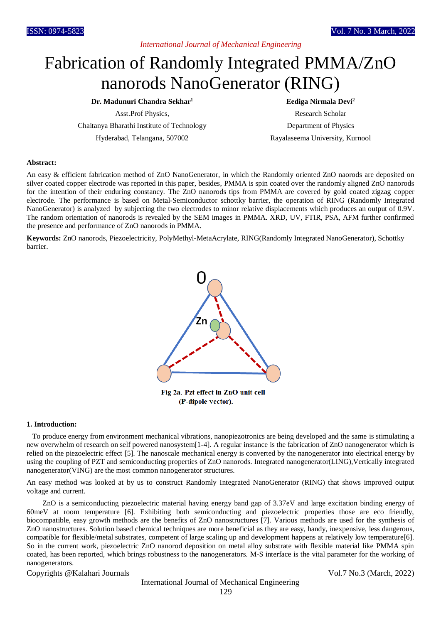# *International Journal of Mechanical Engineering*

# Fabrication of Randomly Integrated PMMA/ZnO nanorods NanoGenerator (RING)

**Dr. Madunuri Chandra Sekhar<sup>1</sup> Eediga Nirmala Devi<sup>2</sup>**

Chaitanya Bharathi Institute of Technology Department of Physics

Hyderabad, Telangana, 507002 Rayalaseema University, Kurnool

Asst.Prof Physics. Research Scholar

#### **Abstract:**

An easy & efficient fabrication method of ZnO NanoGenerator, in which the Randomly oriented ZnO naorods are deposited on silver coated copper electrode was reported in this paper, besides, PMMA is spin coated over the randomly aligned ZnO nanorods for the intention of their enduring constancy. The ZnO nanorods tips from PMMA are covered by gold coated zigzag copper electrode. The performance is based on Metal-Semiconductor schottky barrier, the operation of RING (Randomly Integrated NanoGenerator) is analyzed by subjecting the two electrodes to minor relative displacements which produces an output of 0.9V. The random orientation of nanorods is revealed by the SEM images in PMMA. XRD, UV, FTIR, PSA, AFM further confirmed the presence and performance of ZnO nanorods in PMMA.

**Keywords:** ZnO nanorods, Piezoelectricity, PolyMethyl-MetaAcrylate, RING(Randomly Integrated NanoGenerator), Schottky barrier.



# **1. Introduction:**

 To produce energy from environment mechanical vibrations, nanopiezotronics are being developed and the same is stimulating a new overwhelm of research on self powered nanosystem[1-4]. A regular instance is the fabrication of ZnO nanogenerator which is relied on the piezoelectric effect [5]. The nanoscale mechanical energy is converted by the nanogenerator into electrical energy by using the coupling of PZT and semiconducting properties of ZnO nanorods. Integrated nanogenerator(LING),Vertically integrated nanogenerator(VING) are the most common nanogenerator structures.

An easy method was looked at by us to construct Randomly Integrated NanoGenerator (RING) that shows improved output voltage and current.

ZnO is a semiconducting piezoelectric material having energy band gap of 3.37eV and large excitation binding energy of 60meV at room temperature [6]. Exhibiting both semiconducting and piezoelectric properties those are eco friendly, biocompatible, easy growth methods are the benefits of ZnO nanostructures [7]. Various methods are used for the synthesis of ZnO nanostructures. Solution based chemical techniques are more beneficial as they are easy, handy, inexpensive, less dangerous, compatible for flexible/metal substrates, competent of large scaling up and development happens at relatively low temperature[6]. So in the current work, piezoelectric ZnO nanorod deposition on metal alloy substrate with flexible material like PMMA spin coated, has been reported, which brings robustness to the nanogenerators. M-S interface is the vital parameter for the working of nanogenerators.

Copyrights @Kalahari Journals Vol.7 No.3 (March, 2022)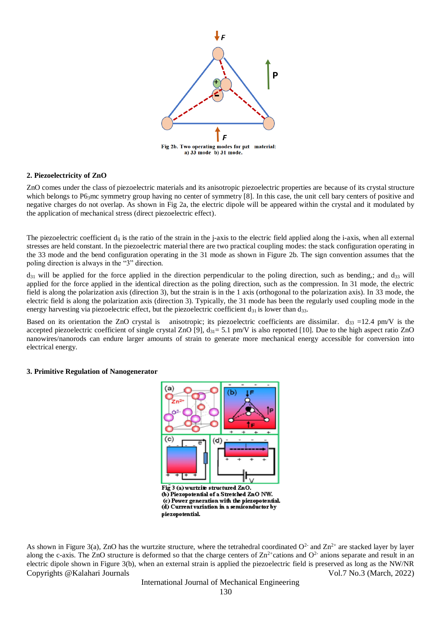

#### **2. Piezoelectricity of ZnO**

ZnO comes under the class of piezoelectric materials and its anisotropic piezoelectric properties are because of its crystal structure which belongs to P6<sub>3</sub>mc symmetry group having no center of symmetry [8]. In this case, the unit cell bary centers of positive and negative charges do not overlap. As shown in Fig 2a, the electric dipole will be appeared within the crystal and it modulated by the application of mechanical stress (direct piezoelectric effect).

The piezoelectric coefficient  $d_{ij}$  is the ratio of the strain in the j-axis to the electric field applied along the i-axis, when all external stresses are held constant. In the piezoelectric material there are two practical coupling modes: the stack configuration operating in the 33 mode and the bend configuration operating in the 31 mode as shown in Figure 2b. The sign convention assumes that the poling direction is always in the "3" direction.

 $d_{31}$  will be applied for the force applied in the direction perpendicular to the poling direction, such as bending,; and  $d_{33}$  will applied for the force applied in the identical direction as the poling direction, such as the compression. In 31 mode, the electric field is along the polarization axis (direction 3), but the strain is in the 1 axis (orthogonal to the polarization axis). In 33 mode, the electric field is along the polarization axis (direction 3). Typically, the 31 mode has been the regularly used coupling mode in the energy harvesting via piezoelectric effect, but the piezoelectric coefficient  $d_{31}$  is lower than  $d_{33}$ .

Based on its orientation the ZnO crystal is anisotropic; its piezoelectric coefficients are dissimilar.  $d_{33} = 12.4$  pm/V is the accepted piezoelectric coefficient of single crystal ZnO [9],  $d_{31}=5.1$  pm/V is also reported [10]. Due to the high aspect ratio ZnO nanowires/nanorods can endure larger amounts of strain to generate more mechanical energy accessible for conversion into electrical energy.

#### **3. Primitive Regulation of Nanogenerator**



Copyrights @Kalahari Journals Vol.7 No.3 (March, 2022) As shown in Figure 3(a), ZnO has the wurtzite structure, where the tetrahedral coordinated  $O^{2}$  and  $Zn^{2+}$  are stacked layer by layer along the c-axis. The ZnO structure is deformed so that the charge centers of  $\text{Zn}^{2+}$ cations and O<sup>2-</sup> anions separate and result in an electric dipole shown in Figure 3(b), when an external strain is applied the piezoelectric field is preserved as long as the NW/NR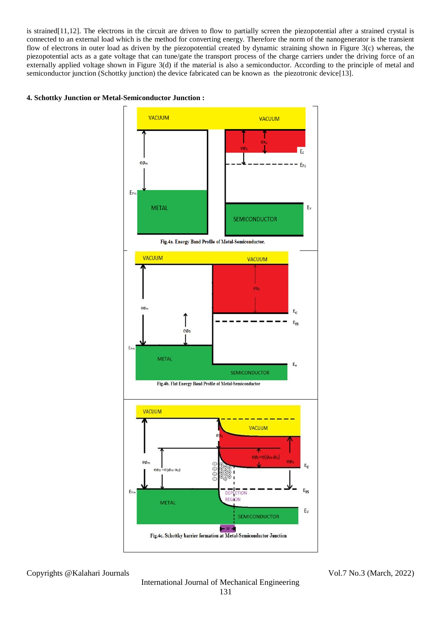is strained[11,12]. The electrons in the circuit are driven to flow to partially screen the piezopotential after a strained crystal is connected to an external load which is the method for converting energy. Therefore the norm of the nanogenerator is the transient flow of electrons in outer load as driven by the piezopotential created by dynamic straining shown in Figure 3(c) whereas, the piezopotential acts as a gate voltage that can tune/gate the transport process of the charge carriers under the driving force of an externally applied voltage shown in Figure 3(d) if the material is also a semiconductor. According to the principle of metal and semiconductor junction (Schottky junction) the device fabricated can be known as the piezotronic device[13].





Copyrights @Kalahari Journals Vol.7 No.3 (March, 2022)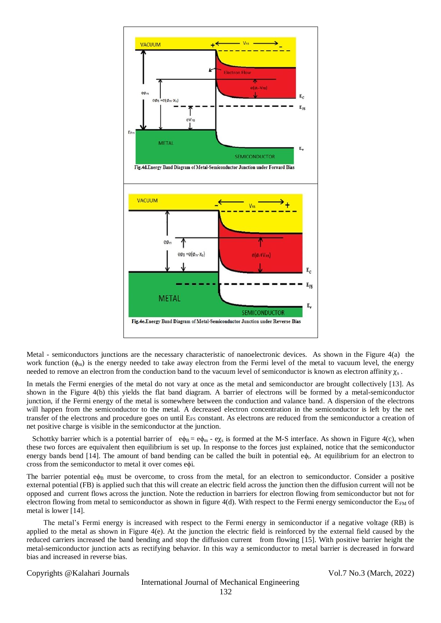

Metal - semiconductors junctions are the necessary characteristic of nanoelectronic devices. As shown in the Figure 4(a) the work function  $(\phi_m)$  is the energy needed to take away electron from the Fermi level of the metal to vacuum level, the energy needed to remove an electron from the conduction band to the vacuum level of semiconductor is known as electron affinity  $\chi_s$ .

In metals the Fermi energies of the metal do not vary at once as the metal and semiconductor are brought collectively [13]. As shown in the Figure 4(b) this yields the flat band diagram. A barrier of electrons will be formed by a metal-semiconductor junction, if the Fermi energy of the metal is somewhere between the conduction and valance band. A dispersion of the electrons will happen from the semiconductor to the metal. A decreased electron concentration in the semiconductor is left by the net transfer of the electrons and procedure goes on until E<sub>FS</sub> constant. As electrons are reduced from the semiconductor a creation of net positive charge is visible in the semiconductor at the junction.

Schottky barrier which is a potential barrier of  $e\phi_B = e\phi_m - e\chi_s$  is formed at the M-S interface. As shown in Figure 4(c), when these two forces are equivalent then equilibrium is set up. In response to the forces just explained, notice that the semiconductor energy bands bend [14]. The amount of band bending can be called the built in potential  $e\phi_i$ . At equilibrium for an electron to cross from the semiconductor to metal it over comes eϕi.

The barrier potential  $e_{\text{DB}}$  must be overcome, to cross from the metal, for an electron to semiconductor. Consider a positive external potential (FB) is applied such that this will create an electric field across the junction then the diffusion current will not be opposed and current flows across the junction. Note the reduction in barriers for electron flowing from semiconductor but not for electron flowing from metal to semiconductor as shown in figure  $4(d)$ . With respect to the Fermi energy semiconductor the  $E_{FM}$  of metal is lower [14].

 The metal's Fermi energy is increased with respect to the Fermi energy in semiconductor if a negative voltage (RB) is applied to the metal as shown in Figure 4(e). At the junction the electric field is reinforced by the external field caused by the reduced carriers increased the band bending and stop the diffusion current from flowing [15]. With positive barrier height the metal-semiconductor junction acts as rectifying behavior. In this way a semiconductor to metal barrier is decreased in forward bias and increased in reverse bias.

Copyrights @Kalahari Journals Vol.7 No.3 (March, 2022)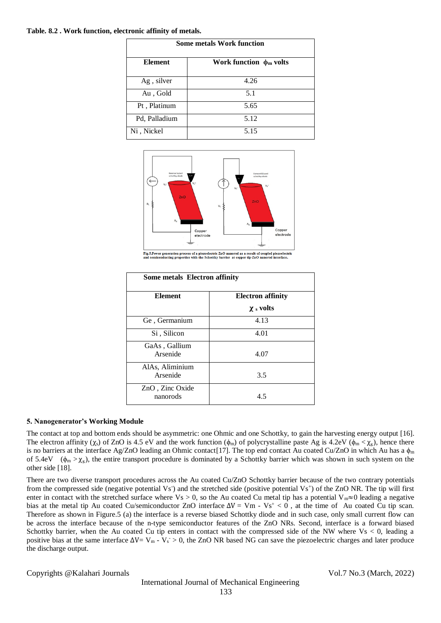#### **Table. 8.2 . Work function, electronic affinity of metals.**

| <b>Some metals Work function</b> |                              |  |
|----------------------------------|------------------------------|--|
| <b>Element</b>                   | Work function $\phi_m$ volts |  |
| Ag, silver                       | 4.26                         |  |
| Au, Gold                         | 5.1                          |  |
| Pt, Platinum                     | 5.65                         |  |
| Pd, Palladium                    | 5.12                         |  |
| Ni, Nickel                       | 5.15                         |  |



.<br>Fig. 5. Power generation process of a piezoelectric ZnO nanorod as a result of coupled piezoelectric<br>and semiconducting properties with the Schottky barrier at copper tip-ZnO nanorod interface.

| <b>Some metals Electron affinity</b> |                          |  |
|--------------------------------------|--------------------------|--|
| Element                              | <b>Electron affinity</b> |  |
|                                      | $\chi$ s volts           |  |
| Ge, Germanium                        | 4.13                     |  |
| Si, Silicon                          | 4.01                     |  |
| GaAs, Gallium<br>Arsenide            | 4.07                     |  |
| AlAs, Aliminium<br>Arsenide          | 3.5                      |  |
| ZnO, Zinc Oxide<br>nanorods          | 4.5                      |  |

# **5. Nanogenerator's Working Module**

The contact at top and bottom ends should be asymmetric: one Ohmic and one Schottky, to gain the harvesting energy output [16]. The electron affinity ( $\chi_s$ ) of ZnO is 4.5 eV and the work function ( $\phi_m$ ) of polycrystalline paste Ag is 4.2eV ( $\phi_m < \chi_s$ ), hence there is no barriers at the interface Ag/ZnO leading an Ohmic contact[17]. The top end contact Au coated Cu/ZnO in which Au has a  $\phi_m$ of 5.4eV  $(\phi_m > \chi_s)$ , the entire transport procedure is dominated by a Schottky barrier which was shown in such system on the other side [18].

There are two diverse transport procedures across the Au coated Cu/ZnO Schottky barrier because of the two contrary potentials from the compressed side (negative potential Vs<sup>-</sup>) and the stretched side (positive potential Vs<sup>+</sup>) of the ZnO NR. The tip will first enter in contact with the stretched surface where Vs > 0, so the Au coated Cu metal tip has a potential V<sub>m</sub>≈0 leading a negative bias at the metal tip Au coated Cu/semiconductor ZnO interface  $\Delta V = Vm - Vs^+ < 0$ , at the time of Au coated Cu tip scan. Therefore as shown in Figure.5 (a) the interface is a reverse biased Schottky diode and in such case, only small current flow can be across the interface because of the n-type semiconductor features of the ZnO NRs. Second, interface is a forward biased Schottky barrier, when the Au coated Cu tip enters in contact with the compressed side of the NW where  $V_s < 0$ , leading a positive bias at the same interface  $\Delta V = V_m - V_s > 0$ , the ZnO NR based NG can save the piezoelectric charges and later produce the discharge output.

Copyrights @Kalahari Journals Vol.7 No.3 (March, 2022)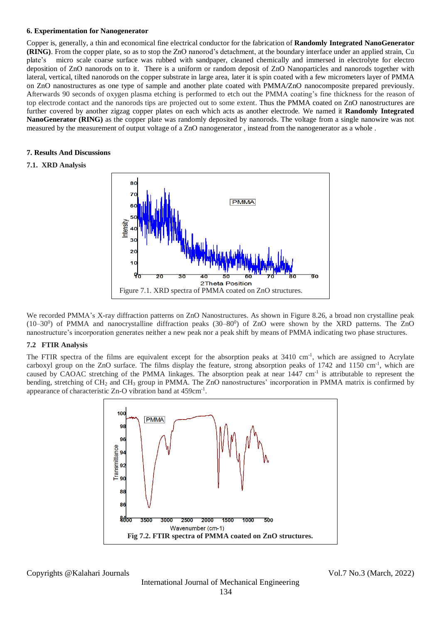#### **6. Experimentation for Nanogenerator**

Copper is, generally, a thin and economical fine electrical conductor for the fabrication of **Randomly Integrated NanoGenerator (RING)**. From the copper plate, so as to stop the ZnO nanorod's detachment, at the boundary interface under an applied strain, Cu plate's micro scale coarse surface was rubbed with sandpaper, cleaned chemically and immersed in electrolyte for electro deposition of ZnO nanorods on to it. There is a uniform or random deposit of ZnO Nanoparticles and nanorods together with lateral, vertical, tilted nanorods on the copper substrate in large area, later it is spin coated with a few micrometers layer of PMMA on ZnO nanostructures as one type of sample and another plate coated with PMMA/ZnO nanocomposite prepared previously. Afterwards 90 seconds of oxygen plasma etching is performed to etch out the PMMA coating's fine thickness for the reason of top electrode contact and the nanorods tips are projected out to some extent. Thus the PMMA coated on ZnO nanostructures are further covered by another zigzag copper plates on each which acts as another electrode. We named it **Randomly Integrated NanoGenerator (RING)** as the copper plate was randomly deposited by nanorods. The voltage from a single nanowire was not measured by the measurement of output voltage of a ZnO nanogenerator , instead from the nanogenerator as a whole .

#### **7. Results And Discussions**

#### **7.1. XRD Analysis**



We recorded PMMA's X-ray diffraction patterns on ZnO Nanostructures. As shown in Figure 8.26, a broad non crystalline peak  $(10-30^0)$  of PMMA and nanocrystalline diffraction peaks  $(30-80^0)$  of ZnO were shown by the XRD patterns. The ZnO nanostructure's incorporation generates neither a new peak nor a peak shift by means of PMMA indicating two phase structures.

#### **7.2 FTIR Analysis**

The FTIR spectra of the films are equivalent except for the absorption peaks at  $3410 \text{ cm}^{-1}$ , which are assigned to Acrylate carboxyl group on the ZnO surface. The films display the feature, strong absorption peaks of 1742 and 1150 cm<sup>-1</sup>, which are caused by CAOAC stretching of the PMMA linkages. The absorption peak at near 1447 cm<sup>-1</sup> is attributable to represent the bending, stretching of CH<sub>2</sub> and CH<sub>3</sub> group in PMMA. The ZnO nanostructures' incorporation in PMMA matrix is confirmed by appearance of characteristic Zn-O vibration band at 459cm-1 .



Copyrights @Kalahari Journals Vol.7 No.3 (March, 2022)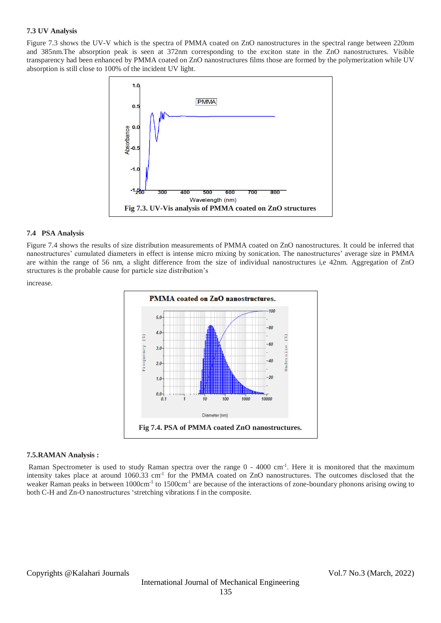#### **7.3 UV Analysis**

Figure 7.3 shows the UV-V which is the spectra of PMMA coated on ZnO nanostructures in the spectral range between 220nm and 385nm.The absorption peak is seen at 372nm corresponding to the exciton state in the ZnO nanostructures. Visible transparency had been enhanced by PMMA coated on ZnO nanostructures films those are formed by the polymerization while UV absorption is still close to 100% of the incident UV light.



#### **7.4 PSA Analysis**

Figure 7.4 shows the results of size distribution measurements of PMMA coated on ZnO nanostructures. It could be inferred that nanostructures' cumulated diameters in effect is intense micro mixing by sonication. The nanostructures' average size in PMMA are within the range of 56 nm, a slight difference from the size of individual nanostructures i,e 42nm. Aggregation of ZnO structures is the probable cause for particle size distribution's

increase.



#### **7.5.RAMAN Analysis :**

Raman Spectrometer is used to study Raman spectra over the range  $0 - 4000$  cm<sup>-1</sup>. Here it is monitored that the maximum intensity takes place at around 1060.33 cm<sup>-1</sup> for the PMMA coated on ZnO nanostructures. The outcomes disclosed that the weaker Raman peaks in between 1000cm<sup>-1</sup> to 1500cm<sup>-1</sup> are because of the interactions of zone-boundary phonons arising owing to both C-H and Zn-O nanostructures 'stretching vibrations f in the composite.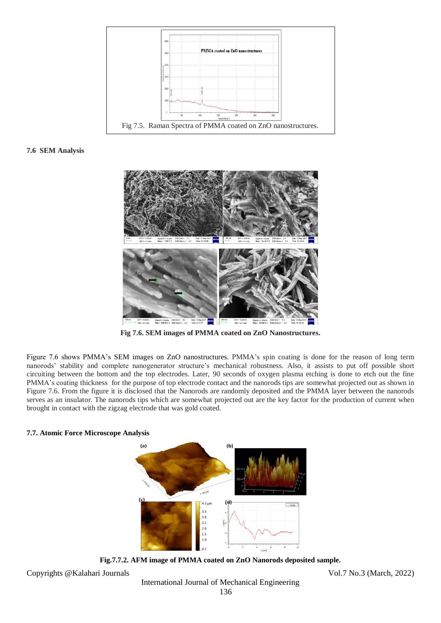

### **7.6 SEM Analysis**



**Fig 7.6. SEM images of PMMA coated on ZnO Nanostructures.**

Figure 7.6 shows PMMA's SEM images on ZnO nanostructures. PMMA's spin coating is done for the reason of long term nanorods' stability and complete nanogenerator structure's mechanical robustness. Also, it assists to put off possible short circuiting between the bottom and the top electrodes. Later, 90 seconds of oxygen plasma etching is done to etch out the fine PMMA's coating thickness for the purpose of top electrode contact and the nanorods tips are somewhat projected out as shown in Figure 7.6. From the figure it is disclosed that the Nanorods are randomly deposited and the PMMA layer between the nanorods serves as an insulator. The nanorods tips which are somewhat projected out are the key factor for the production of current when brought in contact with the zigzag electrode that was gold coated.

**7.7. Atomic Force Microscope Analysis**



**Fig.7.7.2. AFM image of PMMA coated on ZnO Nanorods deposited sample.**

Copyrights @Kalahari Journals Vol.7 No.3 (March, 2022)